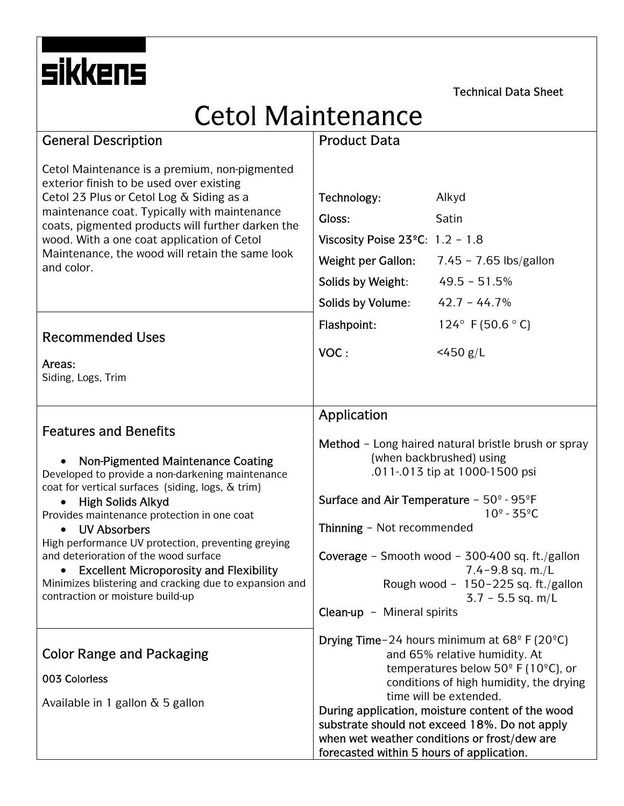Technical Data Sheet

# Cetol Maintenance

| <b>General Description</b>                                                                                                                                                                                                                                   | <b>Product Data</b>                                                                                                                                                              |                                                            |
|--------------------------------------------------------------------------------------------------------------------------------------------------------------------------------------------------------------------------------------------------------------|----------------------------------------------------------------------------------------------------------------------------------------------------------------------------------|------------------------------------------------------------|
| Cetol Maintenance is a premium, non-pigmented<br>exterior finish to be used over existing                                                                                                                                                                    |                                                                                                                                                                                  |                                                            |
| Cetol 23 Plus or Cetol Log & Siding as a<br>maintenance coat. Typically with maintenance<br>coats, pigmented products will further darken the<br>wood. With a one coat application of Cetol<br>Maintenance, the wood will retain the same look<br>and color. | Technology:                                                                                                                                                                      | Alkyd                                                      |
|                                                                                                                                                                                                                                                              | Gloss:                                                                                                                                                                           | Satin                                                      |
|                                                                                                                                                                                                                                                              | Viscosity Poise $23^{\circ}$ C: 1.2 - 1.8                                                                                                                                        |                                                            |
|                                                                                                                                                                                                                                                              | <b>Weight per Gallon:</b>                                                                                                                                                        | 7.45 - 7.65 lbs/gallon                                     |
|                                                                                                                                                                                                                                                              | Solids by Weight:                                                                                                                                                                | $49.5 - 51.5%$                                             |
|                                                                                                                                                                                                                                                              | Solids by Volume:                                                                                                                                                                | $42.7 - 44.7%$                                             |
| <b>Recommended Uses</b>                                                                                                                                                                                                                                      | Flashpoint:                                                                                                                                                                      | 124° F (50.6 ° C)                                          |
|                                                                                                                                                                                                                                                              | VOC:                                                                                                                                                                             | $<$ 450 g/L                                                |
| Areas:<br>Siding, Logs, Trim                                                                                                                                                                                                                                 |                                                                                                                                                                                  |                                                            |
|                                                                                                                                                                                                                                                              |                                                                                                                                                                                  |                                                            |
| <b>Features and Benefits</b>                                                                                                                                                                                                                                 | Application                                                                                                                                                                      |                                                            |
|                                                                                                                                                                                                                                                              |                                                                                                                                                                                  | Method - Long haired natural bristle brush or spray        |
| Non-Pigmented Maintenance Coating                                                                                                                                                                                                                            | (when backbrushed) using<br>.011-.013 tip at 1000-1500 psi                                                                                                                       |                                                            |
| Developed to provide a non-darkening maintenance<br>coat for vertical surfaces (siding, logs, & trim)                                                                                                                                                        |                                                                                                                                                                                  |                                                            |
| <b>High Solids Alkyd</b><br>$\bullet$<br>Provides maintenance protection in one coat                                                                                                                                                                         | Surface and Air Temperature - 50° - 95°F<br>$10^{\circ} - 35^{\circ}$ C<br>Thinning - Not recommended<br>Coverage - Smooth wood - 300-400 sq. ft./gallon<br>$7.4 - 9.8$ sq. m./L |                                                            |
| <b>UV Absorbers</b>                                                                                                                                                                                                                                          |                                                                                                                                                                                  |                                                            |
| High performance UV protection, preventing greying<br>and deterioration of the wood surface                                                                                                                                                                  |                                                                                                                                                                                  |                                                            |
| <b>Excellent Microporosity and Flexibility</b>                                                                                                                                                                                                               |                                                                                                                                                                                  |                                                            |
| Minimizes blistering and cracking due to expansion and<br>contraction or moisture build-up                                                                                                                                                                   |                                                                                                                                                                                  | Rough wood - 150-225 sq. ft./gallon<br>$3.7 - 5.5$ sq. m/L |
|                                                                                                                                                                                                                                                              | Clean-up - Mineral spirits                                                                                                                                                       |                                                            |
|                                                                                                                                                                                                                                                              | <b>Drying Time-24 hours minimum at 68° F (20°C)</b>                                                                                                                              |                                                            |
| <b>Color Range and Packaging</b>                                                                                                                                                                                                                             | and 65% relative humidity. At<br>temperatures below 50 $\degree$ F (10 $\degree$ C), or                                                                                          |                                                            |
| 003 Colorless                                                                                                                                                                                                                                                | conditions of high humidity, the drying                                                                                                                                          |                                                            |
| Available in 1 gallon & 5 gallon                                                                                                                                                                                                                             | time will be extended.<br>During application, moisture content of the wood                                                                                                       |                                                            |
|                                                                                                                                                                                                                                                              | substrate should not exceed 18%. Do not apply                                                                                                                                    |                                                            |
|                                                                                                                                                                                                                                                              | forecasted within 5 hours of application.                                                                                                                                        | when wet weather conditions or frost/dew are               |
|                                                                                                                                                                                                                                                              |                                                                                                                                                                                  |                                                            |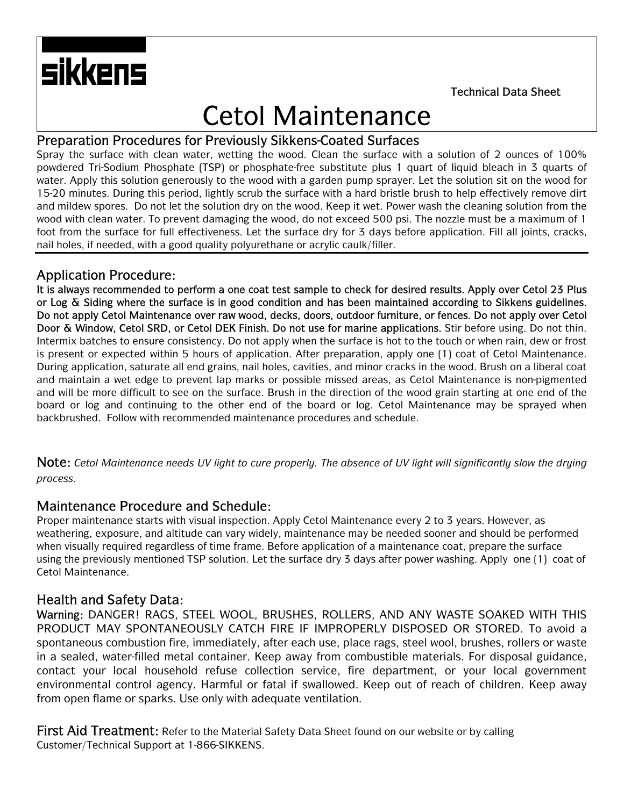Technical Data Sheet

# Cetol Maintenance

### Preparation Procedures for Previously Sikkens-Coated Surfaces

Spray the surface with clean water, wetting the wood. Clean the surface with a solution of 2 ounces of 100% powdered Tri-Sodium Phosphate (TSP) or phosphate-free substitute plus 1 quart of liquid bleach in 3 quarts of water. Apply this solution generously to the wood with a garden pump sprayer. Let the solution sit on the wood for 15-20 minutes. During this period, lightly scrub the surface with a hard bristle brush to help effectively remove dirt and mildew spores. Do not let the solution dry on the wood. Keep it wet. Power wash the cleaning solution from the wood with clean water. To prevent damaging the wood, do not exceed 500 psi. The nozzle must be a maximum of 1 foot from the surface for full effectiveness. Let the surface dry for 3 days before application. Fill all joints, cracks, nail holes, if needed, with a good quality polyurethane or acrylic caulk/filler.

### Application Procedure:

sikkens

It is always recommended to perform a one coat test sample to check for desired results. Apply over Cetol 23 Plus or Log & Siding where the surface is in good condition and has been maintained according to Sikkens guidelines. Do not apply Cetol Maintenance over raw wood, decks, doors, outdoor furniture, or fences. Do not apply over Cetol Door & Window, Cetol SRD, or Cetol DEK Finish. Do not use for marine applications. Stir before using. Do not thin. Intermix batches to ensure consistency. Do not apply when the surface is hot to the touch or when rain, dew or frost is present or expected within 5 hours of application. After preparation, apply one (1) coat of Cetol Maintenance. During application, saturate all end grains, nail holes, cavities, and minor cracks in the wood. Brush on a liberal coat and maintain a wet edge to prevent lap marks or possible missed areas, as Cetol Maintenance is non-pigmented and will be more difficult to see on the surface. Brush in the direction of the wood grain starting at one end of the board or log and continuing to the other end of the board or log. Cetol Maintenance may be sprayed when backbrushed. Follow with recommended maintenance procedures and schedule.

Note: *Cetol Maintenance needs UV light to cure properly. The absence of UV light will significantly slow the drying process.*

#### Maintenance Procedure and Schedule:

Proper maintenance starts with visual inspection. Apply Cetol Maintenance every 2 to 3 years. However, as weathering, exposure, and altitude can vary widely, maintenance may be needed sooner and should be performed when visually required regardless of time frame. Before application of a maintenance coat, prepare the surface using the previously mentioned TSP solution. Let the surface dry 3 days after power washing. Apply one (1) coat of Cetol Maintenance.

## Health and Safety Data:

Warning: DANGER! RAGS, STEEL WOOL, BRUSHES, ROLLERS, AND ANY WASTE SOAKED WITH THIS PRODUCT MAY SPONTANEOUSLY CATCH FIRE IF IMPROPERLY DISPOSED OR STORED. To avoid a spontaneous combustion fire, immediately, after each use, place rags, steel wool, brushes, rollers or waste in a sealed, water-filled metal container. Keep away from combustible materials. For disposal guidance, contact your local household refuse collection service, fire department, or your local government environmental control agency. Harmful or fatal if swallowed. Keep out of reach of children. Keep away from open flame or sparks. Use only with adequate ventilation.

First Aid Treatment: Refer to the Material Safety Data Sheet found on our website or by calling Customer/Technical Support at 1-866-SIKKENS.